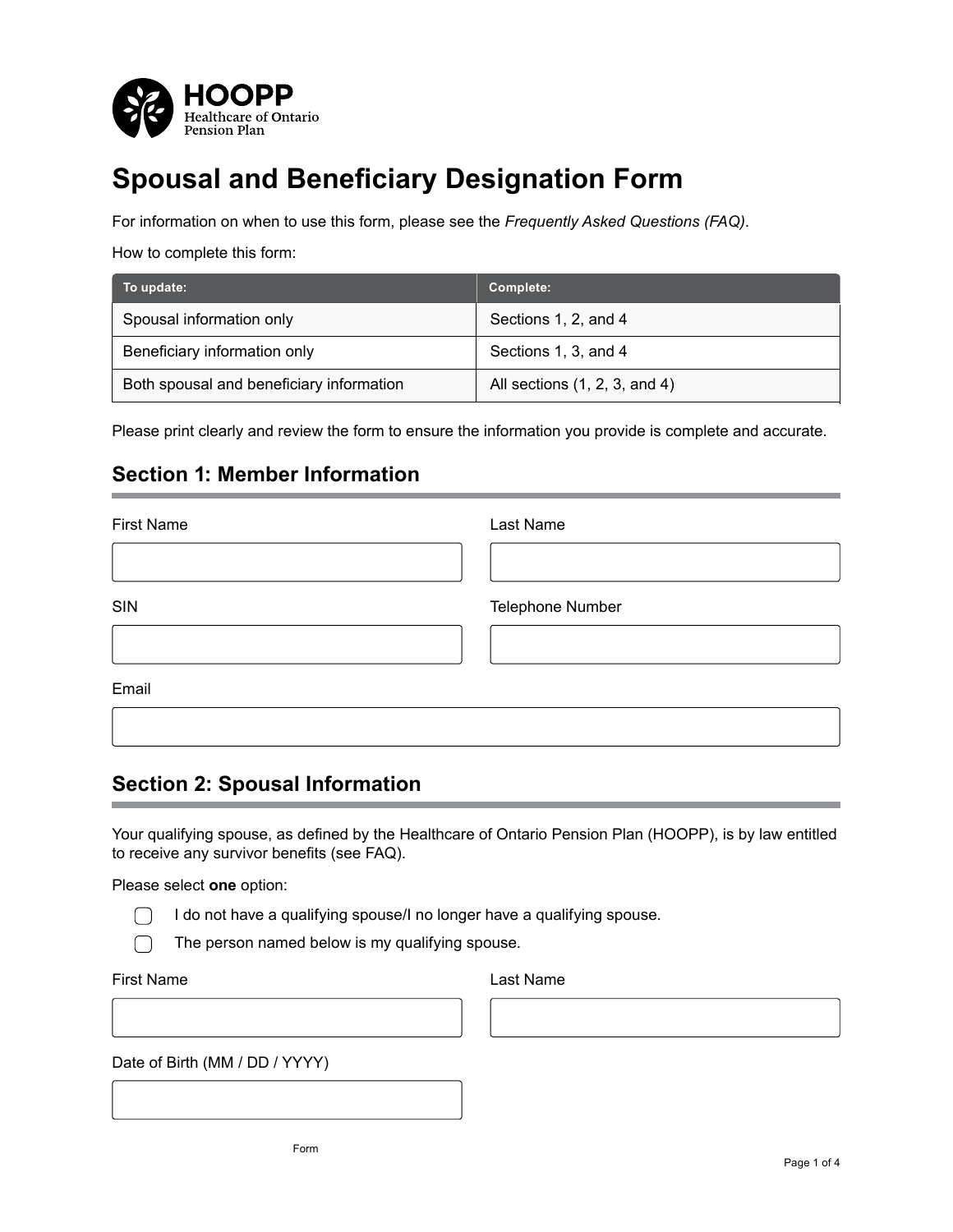

# **Spousal and Beneficiary Designation Form**

For information on when to use this form, please see the *Frequently Asked Questions (FAQ)*.

How to complete this form:

| To update:                               | Complete:                     |
|------------------------------------------|-------------------------------|
| Spousal information only                 | Sections 1, 2, and 4          |
| Beneficiary information only             | Sections 1, 3, and 4          |
| Both spousal and beneficiary information | All sections (1, 2, 3, and 4) |

Please print clearly and review the form to ensure the information you provide is complete and accurate.

## **Section 1: Member Information**

| <b>First Name</b> | Last Name        |
|-------------------|------------------|
|                   |                  |
| <b>SIN</b>        | Telephone Number |
|                   |                  |
| Email             |                  |
|                   |                  |

## **Section 2: Spousal Information**

Your qualifying spouse, as defined by the Healthcare of Ontario Pension Plan (HOOPP), is by law entitled to receive any survivor benefits (see FAQ).

Please select **one** option:

I do not have a qualifying spouse/I no longer have a qualifying spouse.

The person named below is my qualifying spouse.

First Name

 $\Box$  $\bigcap$ 

Last Name

Date of Birth (MM / DD / YYYY)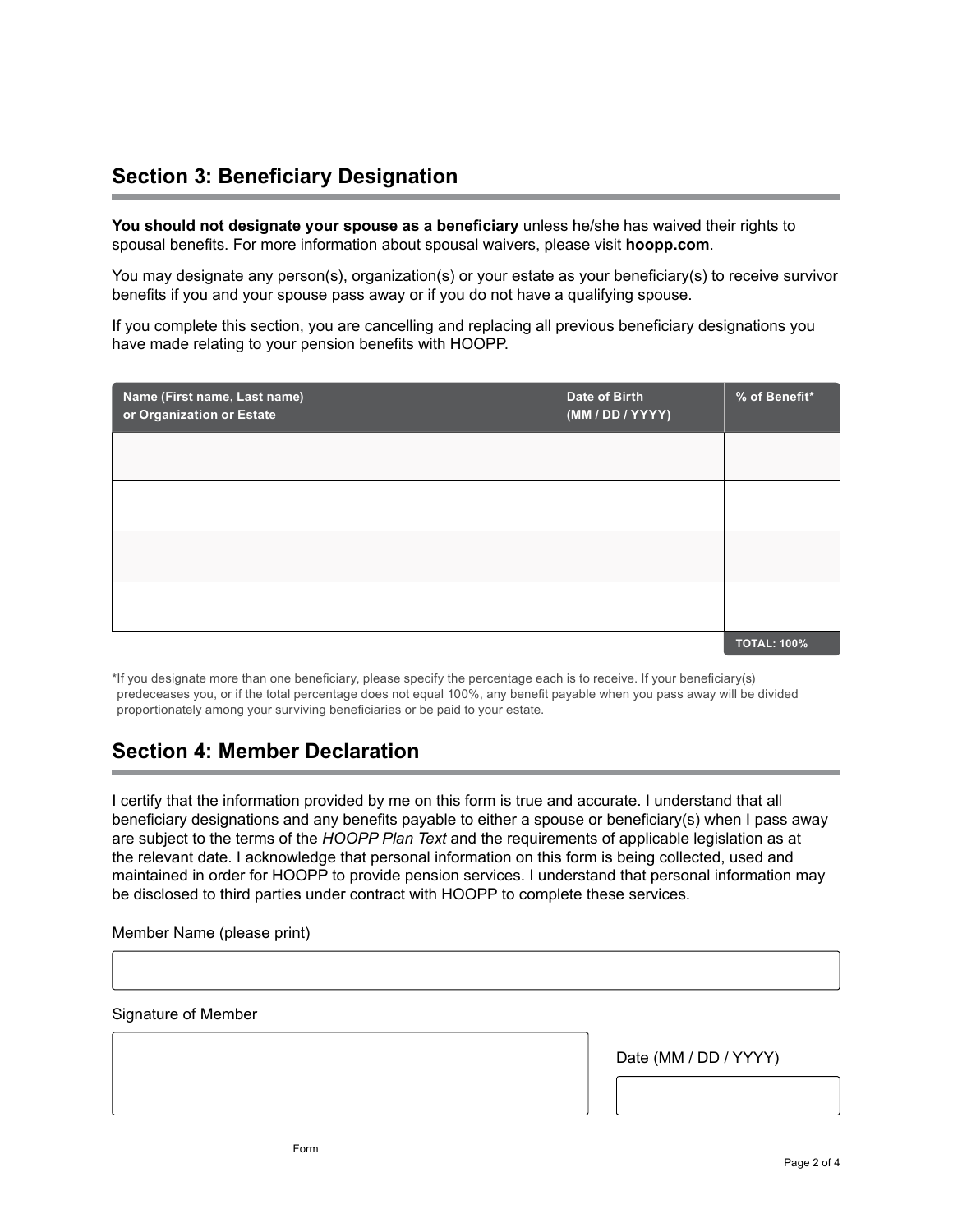## **Section 3: Beneficiary Designation**

**You should not designate your spouse as a beneficiary** unless he/she has waived their rights to spousal benefits. For more information about spousal waivers, please visit **hoopp.com**.

You may designate any person(s), organization(s) or your estate as your beneficiary(s) to receive survivor benefits if you and your spouse pass away or if you do not have a qualifying spouse.

If you complete this section, you are cancelling and replacing all previous beneficiary designations you have made relating to your pension benefits with HOOPP.

| Name (First name, Last name)<br>or Organization or Estate | Date of Birth<br>(MM/DD/YYYY) | % of Benefit*      |
|-----------------------------------------------------------|-------------------------------|--------------------|
|                                                           |                               |                    |
|                                                           |                               |                    |
|                                                           |                               |                    |
|                                                           |                               |                    |
|                                                           |                               | <b>TOTAL: 100%</b> |

\*If you designate more than one beneficiary, please specify the percentage each is to receive. If your beneficiary(s) predeceases you, or if the total percentage does not equal 100%, any benefit payable when you pass away will be divided proportionately among your surviving beneficiaries or be paid to your estate.

## **Section 4: Member Declaration**

I certify that the information provided by me on this form is true and accurate. I understand that all beneficiary designations and any benefits payable to either a spouse or beneficiary(s) when I pass away are subject to the terms of the *HOOPP Plan Text* and the requirements of applicable legislation as at the relevant date. I acknowledge that personal information on this form is being collected, used and maintained in order for HOOPP to provide pension services. I understand that personal information may be disclosed to third parties under contract with HOOPP to complete these services.

Member Name (please print)

Signature of Member

Date (MM / DD / YYYY)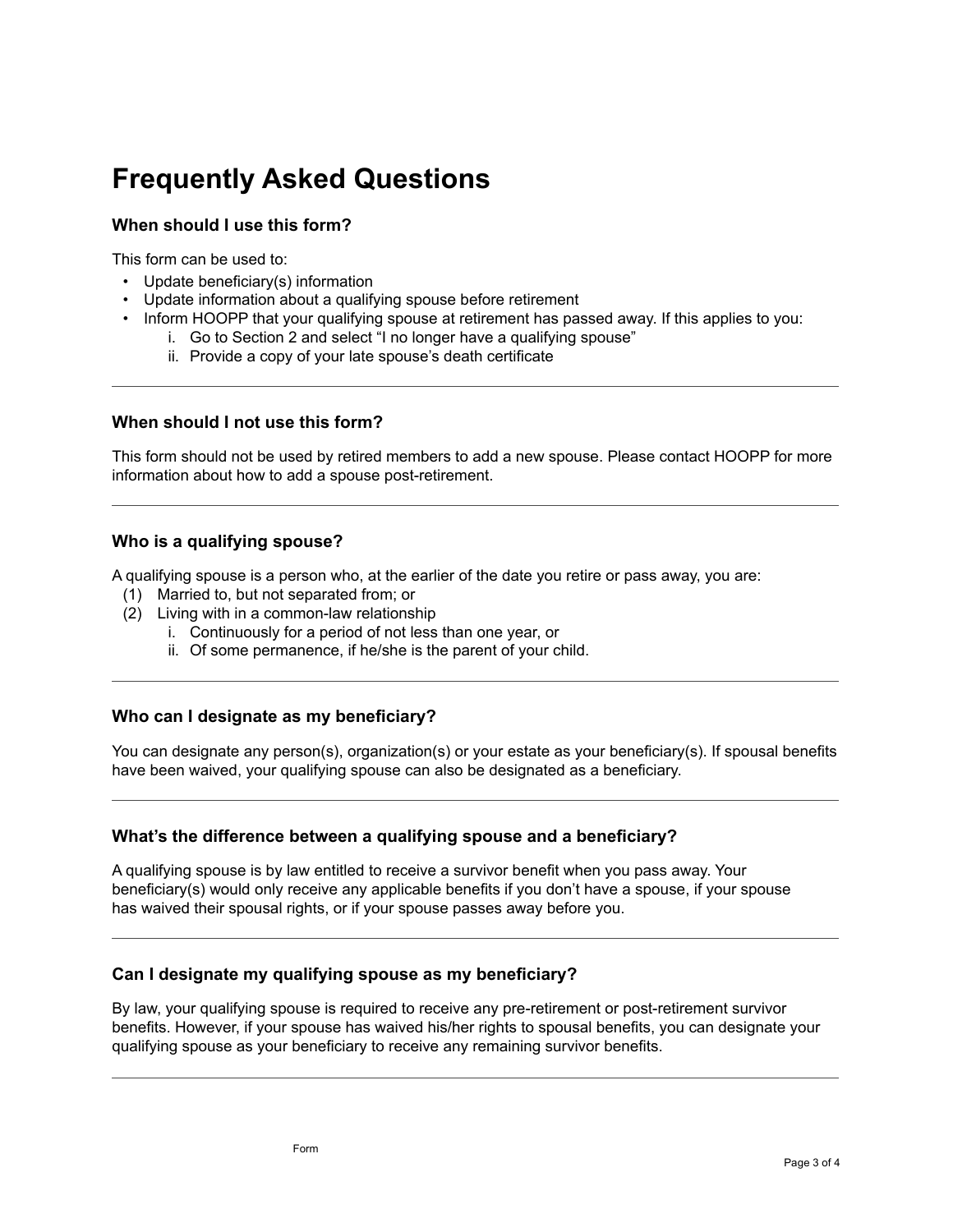# **Frequently Asked Questions**

### **When should I use this form?**

This form can be used to:

- Update beneficiary(s) information
- Update information about a qualifying spouse before retirement
- Inform HOOPP that your qualifying spouse at retirement has passed away. If this applies to you:
	- i. Go to Section 2 and select "I no longer have a qualifying spouse"
	- ii. Provide a copy of your late spouse's death certificate

#### **When should I not use this form?**

This form should not be used by retired members to add a new spouse. Please contact HOOPP for more information about how to add a spouse post-retirement.

#### **Who is a qualifying spouse?**

A qualifying spouse is a person who, at the earlier of the date you retire or pass away, you are:

- (1) Married to, but not separated from; or
- (2) Living with in a common-law relationship
	- i. Continuously for a period of not less than one year, or
	- ii. Of some permanence, if he/she is the parent of your child.

### **Who can I designate as my beneficiary?**

You can designate any person(s), organization(s) or your estate as your beneficiary(s). If spousal benefits have been waived, your qualifying spouse can also be designated as a beneficiary.

#### **What's the difference between a qualifying spouse and a beneficiary?**

A qualifying spouse is by law entitled to receive a survivor benefit when you pass away. Your beneficiary(s) would only receive any applicable benefits if you don't have a spouse, if your spouse has waived their spousal rights, or if your spouse passes away before you.

#### **Can I designate my qualifying spouse as my beneficiary?**

By law, your qualifying spouse is required to receive any pre-retirement or post-retirement survivor benefits. However, if your spouse has waived his/her rights to spousal benefits, you can designate your qualifying spouse as your beneficiary to receive any remaining survivor benefits.